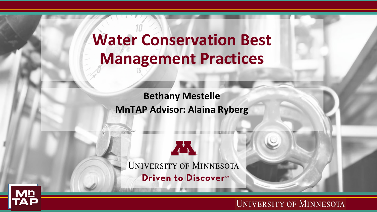### **Water Conservation Best Management Practices**

**Bethany Mestelle MnTAP Advisor: Alaina Ryberg**

ÆN. UNIVERSITY OF MINNESOTA Driven to Discover<sup>SM</sup>

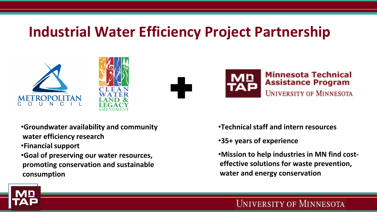### **Industrial Water Efficiency Project Partnership**







- •**Groundwater availability and community water efficiency research**
- •**Financial support**
- •**Goal of preserving our water resources, promoting conservation and sustainable consumption**
- •**Technical staff and intern resources**
- •**35+ years of experience**
- •**Mission to help industries in MN find costeffective solutions for waste prevention, water and energy conservation**

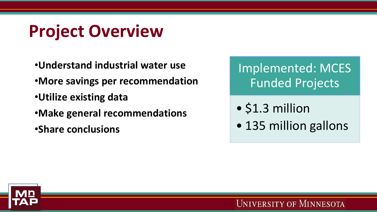# **Project Overview**

- •**Understand industrial water use**
- •**More savings per recommendation**
- •**Utilize existing data**
- •**Make general recommendations**
- •**Share conclusions**

Implemented: MCES Funded Projects

- \$1.3 million
- 135 million gallons

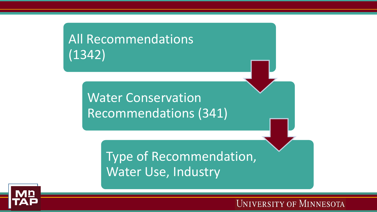### All Recommendations (1342)

### Water Conservation Recommendations (341)

Type of Recommendation, Water Use, Industry

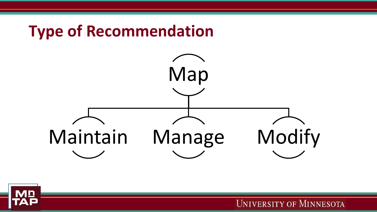

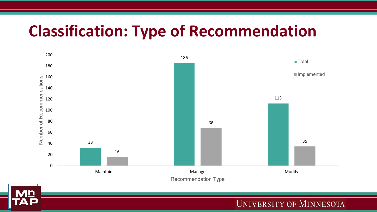## **Classification: Type of Recommendation**



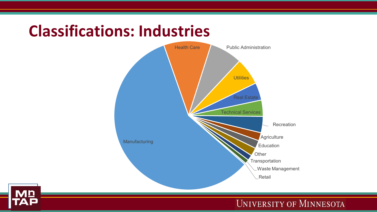

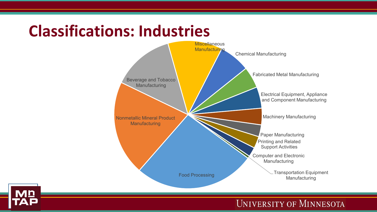## **Classifications: Industries**



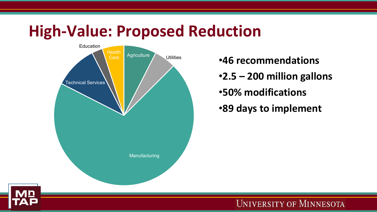### **High-Value: Proposed Reduction**



**•46 recommendations** •**2.5 – 200 million gallons** •**50% modifications**

•**89 days to implement**

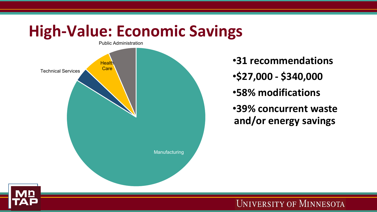#### **High-Value: Economic Savings** Public Administration



•**31 recommendations** •**\$27,000 - \$340,000** •**58% modifications** •**39% concurrent waste and/or energy savings**

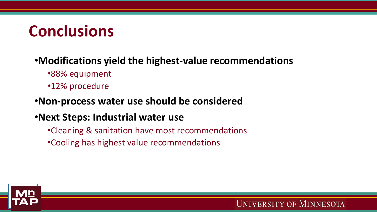## **Conclusions**

#### •**Modifications yield the highest-value recommendations**

- •88% equipment
- •12% procedure

#### •**Non-process water use should be considered**

### •**Next Steps: Industrial water use**

- •Cleaning & sanitation have most recommendations
- •Cooling has highest value recommendations